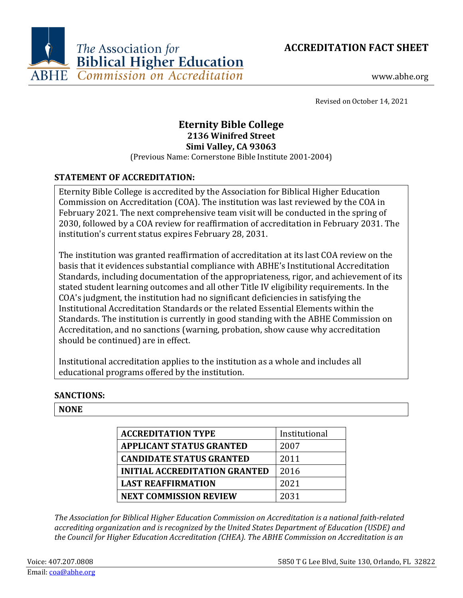



www.abhe.org

Revised on October 14, 2021

# **Eternity Bible College 2136 Winifred Street Simi Valley, CA 93063**

(Previous Name: Cornerstone Bible Institute 2001-2004)

# **STATEMENT OF ACCREDITATION:**

Eternity Bible College is accredited by the Association for Biblical Higher Education Commission on Accreditation (COA). The institution was last reviewed by the COA in February 2021. The next comprehensive team visit will be conducted in the spring of 2030, followed by a COA review for reaffirmation of accreditation in February 2031. The institution's current status expires February 28, 2031.

The institution was granted reaffirmation of accreditation at its last COA review on the basis that it evidences substantial compliance with ABHE's Institutional Accreditation Standards, including documentation of the appropriateness, rigor, and achievement of its stated student learning outcomes and all other Title IV eligibility requirements. In the COA's judgment, the institution had no significant deficiencies in satisfying the Institutional Accreditation Standards or the related Essential Elements within the Standards. The institution is currently in good standing with the ABHE Commission on Accreditation, and no sanctions (warning, probation, show cause why accreditation should be continued) are in effect.

Institutional accreditation applies to the institution as a whole and includes all educational programs offered by the institution.

# **SANCTIONS:**

## **NONE**

| <b>ACCREDITATION TYPE</b>            | Institutional |
|--------------------------------------|---------------|
| <b>APPLICANT STATUS GRANTED</b>      | 2007          |
| <b>CANDIDATE STATUS GRANTED</b>      | 2011          |
| <b>INITIAL ACCREDITATION GRANTED</b> | 2016          |
| <b>LAST REAFFIRMATION</b>            | 2021          |
| <b>NEXT COMMISSION REVIEW</b>        | 2031          |

*The Association for Biblical Higher Education Commission on Accreditation is a national faith-related accrediting organization and is recognized by the United States Department of Education (USDE) and the Council for Higher Education Accreditation (CHEA). The ABHE Commission on Accreditation is an*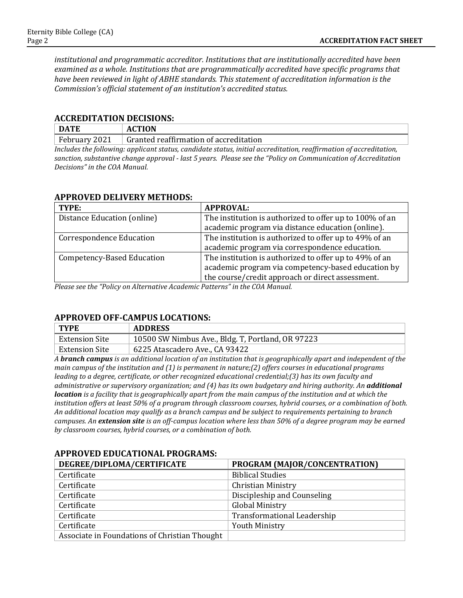*institutional and programmatic accreditor. Institutions that are institutionally accredited have been examined as a whole. Institutions that are programmatically accredited have specific programs that have been reviewed in light of ABHE standards. This statement of accreditation information is the Commission's official statement of an institution's accredited status.*

#### **ACCREDITATION DECISIONS:**

| <b>DATE</b>                                                                                                        | <b>ACTION</b>                          |  |
|--------------------------------------------------------------------------------------------------------------------|----------------------------------------|--|
| February 2021                                                                                                      | Granted reaffirmation of accreditation |  |
| Includes the following: applicant status, candidate status, initial accreditation, reaffirmation of accreditation. |                                        |  |

*Includes the following: applicant status, candidate status, initial accreditation, reaffirmation of accreditation, sanction, substantive change approval - last 5 years. Please see the "Policy on Communication of Accreditation Decisions" in the COA Manual.*

# **APPROVED DELIVERY METHODS:**

| TYPE:                             | <b>APPROVAL:</b>                                                                                             |
|-----------------------------------|--------------------------------------------------------------------------------------------------------------|
| Distance Education (online)       | The institution is authorized to offer up to 100% of an                                                      |
|                                   | academic program via distance education (online).                                                            |
| <b>Correspondence Education</b>   | The institution is authorized to offer up to 49% of an                                                       |
|                                   | academic program via correspondence education.                                                               |
| <b>Competency-Based Education</b> | The institution is authorized to offer up to 49% of an<br>academic program via competency-based education by |
|                                   | the course/credit approach or direct assessment.                                                             |

*Please see the "Policy on Alternative Academic Patterns" in the COA Manual.*

## **APPROVED OFF-CAMPUS LOCATIONS:**

| $\perp$ TYPE   | <b>ADDRESS</b>                                    |
|----------------|---------------------------------------------------|
| Extension Site | 10500 SW Nimbus Ave., Bldg. T, Portland, OR 97223 |
| Extension Site | 6225 Atascadero Ave., CA 93422                    |

*A branch campus is an additional location of an institution that is geographically apart and independent of the main campus of the institution and (1) is permanent in nature;(2) offers courses in educational programs leading to a degree, certificate, or other recognized educational credential;(3) has its own faculty and administrative or supervisory organization; and (4) has its own budgetary and hiring authority. An additional location is a facility that is geographically apart from the main campus of the institution and at which the institution offers at least 50% of a program through classroom courses, hybrid courses, or a combination of both. An additional location may qualify as a branch campus and be subject to requirements pertaining to branch campuses. An extension site is an off-campus location where less than 50% of a degree program may be earned by classroom courses, hybrid courses, or a combination of both.*

| DEGREE/DIPLOMA/CERTIFICATE                    | PROGRAM (MAJOR/CONCENTRATION)      |
|-----------------------------------------------|------------------------------------|
| Certificate                                   | <b>Biblical Studies</b>            |
| Certificate                                   | <b>Christian Ministry</b>          |
| Certificate                                   | Discipleship and Counseling        |
| Certificate                                   | <b>Global Ministry</b>             |
| Certificate                                   | <b>Transformational Leadership</b> |
| Certificate                                   | <b>Youth Ministry</b>              |
| Associate in Foundations of Christian Thought |                                    |

## **APPROVED EDUCATIONAL PROGRAMS:**